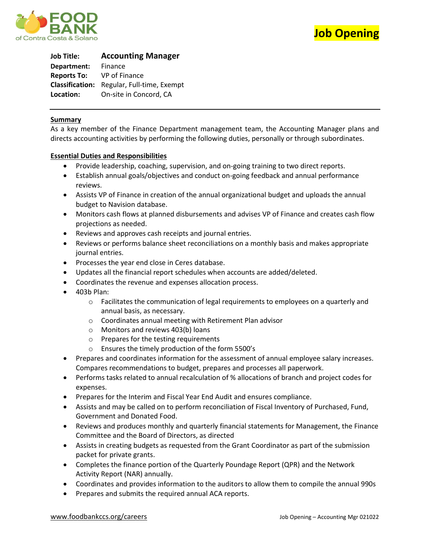



**Job Title: Accounting Manager Department:** Finance **Reports To:** VP of Finance **Classification:** Regular, Full-time, Exempt **Location:** On-site in Concord, CA

### **Summary**

As a key member of the Finance Department management team, the Accounting Manager plans and directs accounting activities by performing the following duties, personally or through subordinates.

### **Essential Duties and Responsibilities**

- Provide leadership, coaching, supervision, and on-going training to two direct reports.
- Establish annual goals/objectives and conduct on-going feedback and annual performance reviews.
- Assists VP of Finance in creation of the annual organizational budget and uploads the annual budget to Navision database.
- Monitors cash flows at planned disbursements and advises VP of Finance and creates cash flow projections as needed.
- Reviews and approves cash receipts and journal entries.
- Reviews or performs balance sheet reconciliations on a monthly basis and makes appropriate journal entries.
- Processes the year end close in Ceres database.
- Updates all the financial report schedules when accounts are added/deleted.
- Coordinates the revenue and expenses allocation process.
- 403b Plan:
	- $\circ$  Facilitates the communication of legal requirements to employees on a quarterly and annual basis, as necessary.
	- o Coordinates annual meeting with Retirement Plan advisor
	- o Monitors and reviews 403(b) loans
	- o Prepares for the testing requirements
	- o Ensures the timely production of the form 5500's
- Prepares and coordinates information for the assessment of annual employee salary increases. Compares recommendations to budget, prepares and processes all paperwork.
- Performs tasks related to annual recalculation of % allocations of branch and project codes for expenses.
- Prepares for the Interim and Fiscal Year End Audit and ensures compliance.
- Assists and may be called on to perform reconciliation of Fiscal Inventory of Purchased, Fund, Government and Donated Food.
- Reviews and produces monthly and quarterly financial statements for Management, the Finance Committee and the Board of Directors, as directed
- Assists in creating budgets as requested from the Grant Coordinator as part of the submission packet for private grants.
- Completes the finance portion of the Quarterly Poundage Report (QPR) and the Network Activity Report (NAR) annually.
- Coordinates and provides information to the auditors to allow them to compile the annual 990s
- Prepares and submits the required annual ACA reports.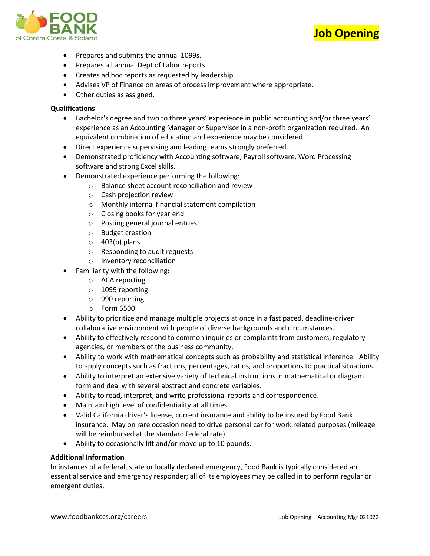



- Prepares and submits the annual 1099s.
- Prepares all annual Dept of Labor reports.
- Creates ad hoc reports as requested by leadership.
- Advises VP of Finance on areas of process improvement where appropriate.
- Other duties as assigned.

## **Qualifications**

- Bachelor's degree and two to three years' experience in public accounting and/or three years' experience as an Accounting Manager or Supervisor in a non-profit organization required. An equivalent combination of education and experience may be considered.
- Direct experience supervising and leading teams strongly preferred.
- Demonstrated proficiency with Accounting software, Payroll software, Word Processing software and strong Excel skills.
- Demonstrated experience performing the following:
	- o Balance sheet account reconciliation and review
	- o Cash projection review
	- o Monthly internal financial statement compilation
	- o Closing books for year end
	- o Posting general journal entries
	- o Budget creation
	- $\circ$  403(b) plans
	- o Responding to audit requests
	- o Inventory reconciliation
- Familiarity with the following:
	- o ACA reporting
	- o 1099 reporting
	- o 990 reporting
	- o Form 5500
- Ability to prioritize and manage multiple projects at once in a fast paced, deadline-driven collaborative environment with people of diverse backgrounds and circumstances.
- Ability to effectively respond to common inquiries or complaints from customers, regulatory agencies, or members of the business community.
- Ability to work with mathematical concepts such as probability and statistical inference. Ability to apply concepts such as fractions, percentages, ratios, and proportions to practical situations.
- Ability to interpret an extensive variety of technical instructions in mathematical or diagram form and deal with several abstract and concrete variables.
- Ability to read, interpret, and write professional reports and correspondence.
- Maintain high level of confidentiality at all times.
- Valid California driver's license, current insurance and ability to be insured by Food Bank insurance. May on rare occasion need to drive personal car for work related purposes (mileage will be reimbursed at the standard federal rate).
- Ability to occasionally lift and/or move up to 10 pounds.

# **Additional Information**

In instances of a federal, state or locally declared emergency, Food Bank is typically considered an essential service and emergency responder; all of its employees may be called in to perform regular or emergent duties.